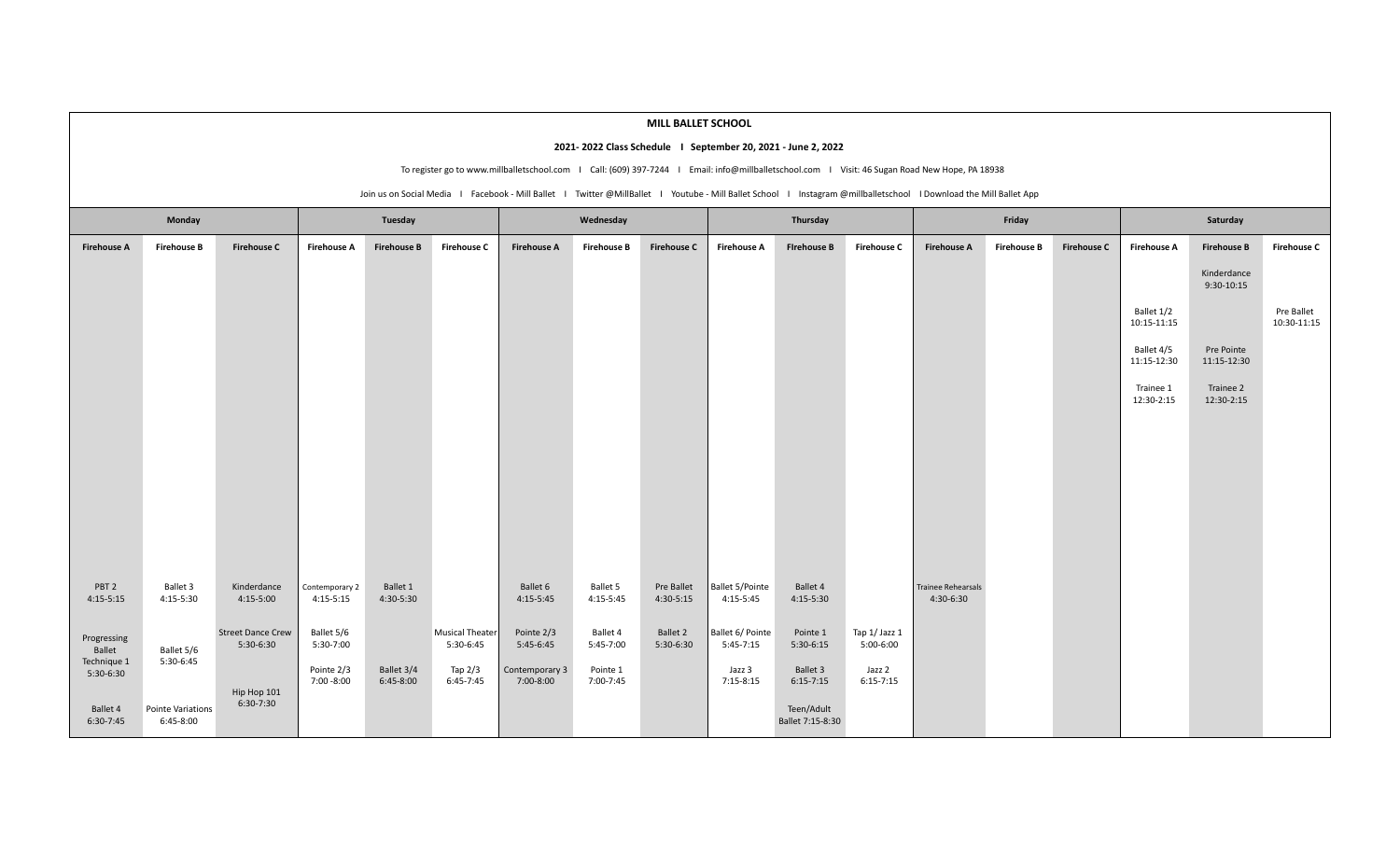|                                                                                                                                                                    |                                         |                                       |                             |                           |                                     |                                                                                                                                                |                       | MILL BALLET SCHOOL      |                                     |                                |                            |                                        |                    |                    |                           |                             |                           |
|--------------------------------------------------------------------------------------------------------------------------------------------------------------------|-----------------------------------------|---------------------------------------|-----------------------------|---------------------------|-------------------------------------|------------------------------------------------------------------------------------------------------------------------------------------------|-----------------------|-------------------------|-------------------------------------|--------------------------------|----------------------------|----------------------------------------|--------------------|--------------------|---------------------------|-----------------------------|---------------------------|
| 2021-2022 Class Schedule   September 20, 2021 - June 2, 2022                                                                                                       |                                         |                                       |                             |                           |                                     |                                                                                                                                                |                       |                         |                                     |                                |                            |                                        |                    |                    |                           |                             |                           |
|                                                                                                                                                                    |                                         |                                       |                             |                           |                                     | To register go to www.millballetschool.com   Call: (609) 397-7244   Email: info@millballetschool.com   Visit: 46 Sugan Road New Hope, PA 18938 |                       |                         |                                     |                                |                            |                                        |                    |                    |                           |                             |                           |
| Join us on Social Media   Facebook - Mill Ballet   Twitter @MillBallet   Youtube - Mill Ballet School   Instagram @millballetschool   Download the Mill Ballet App |                                         |                                       |                             |                           |                                     |                                                                                                                                                |                       |                         |                                     |                                |                            |                                        |                    |                    |                           |                             |                           |
| Monday                                                                                                                                                             |                                         |                                       | Tuesday                     |                           |                                     | Wednesday                                                                                                                                      |                       |                         | Thursday                            |                                |                            | Friday                                 |                    |                    | Saturday                  |                             |                           |
| <b>Firehouse A</b>                                                                                                                                                 | <b>Firehouse B</b>                      | <b>Firehouse C</b>                    | <b>Firehouse A</b>          | <b>Firehouse B</b>        | <b>Firehouse C</b>                  | <b>Firehouse A</b>                                                                                                                             | <b>Firehouse B</b>    | <b>Firehouse C</b>      | <b>Firehouse A</b>                  | <b>Firehouse B</b>             | <b>Firehouse C</b>         | <b>Firehouse A</b>                     | <b>Firehouse B</b> | <b>Firehouse C</b> | <b>Firehouse A</b>        | <b>Firehouse B</b>          | <b>Firehouse C</b>        |
|                                                                                                                                                                    |                                         |                                       |                             |                           |                                     |                                                                                                                                                |                       |                         |                                     |                                |                            |                                        |                    |                    |                           | Kinderdance<br>$9:30-10:15$ |                           |
|                                                                                                                                                                    |                                         |                                       |                             |                           |                                     |                                                                                                                                                |                       |                         |                                     |                                |                            |                                        |                    |                    | Ballet 1/2<br>10:15-11:15 |                             | Pre Ballet<br>10:30-11:15 |
|                                                                                                                                                                    |                                         |                                       |                             |                           |                                     |                                                                                                                                                |                       |                         |                                     |                                |                            |                                        |                    |                    | Ballet 4/5<br>11:15-12:30 | Pre Pointe<br>11:15-12:30   |                           |
|                                                                                                                                                                    |                                         |                                       |                             |                           |                                     |                                                                                                                                                |                       |                         |                                     |                                |                            |                                        |                    |                    | Trainee 1<br>12:30-2:15   | Trainee 2<br>12:30-2:15     |                           |
|                                                                                                                                                                    |                                         |                                       |                             |                           |                                     |                                                                                                                                                |                       |                         |                                     |                                |                            |                                        |                    |                    |                           |                             |                           |
|                                                                                                                                                                    |                                         |                                       |                             |                           |                                     |                                                                                                                                                |                       |                         |                                     |                                |                            |                                        |                    |                    |                           |                             |                           |
|                                                                                                                                                                    |                                         |                                       |                             |                           |                                     |                                                                                                                                                |                       |                         |                                     |                                |                            |                                        |                    |                    |                           |                             |                           |
|                                                                                                                                                                    |                                         |                                       |                             |                           |                                     |                                                                                                                                                |                       |                         |                                     |                                |                            |                                        |                    |                    |                           |                             |                           |
| PBT <sub>2</sub><br>$4:15-5:15$                                                                                                                                    | Ballet 3<br>4:15-5:30                   | Kinderdance<br>4:15-5:00              | Contemporary 2<br>4:15-5:15 | Ballet 1<br>4:30-5:30     |                                     | Ballet 6<br>$4:15-5:45$                                                                                                                        | Ballet 5<br>4:15-5:45 | Pre Ballet<br>4:30-5:15 | <b>Ballet 5/Pointe</b><br>4:15-5:45 | Ballet 4<br>4:15-5:30          |                            | <b>Trainee Rehearsals</b><br>4:30-6:30 |                    |                    |                           |                             |                           |
| Progressing<br>Ballet                                                                                                                                              | Ballet 5/6                              | <b>Street Dance Crew</b><br>5:30-6:30 | Ballet 5/6<br>5:30-7:00     |                           | <b>Musical Theater</b><br>5:30-6:45 | Pointe 2/3<br>$5:45-6:45$                                                                                                                      | Ballet 4<br>5:45-7:00 | Ballet 2<br>5:30-6:30   | Ballet 6/ Pointe<br>$5:45-7:15$     | Pointe 1<br>$5:30-6:15$        | Tap 1/ Jazz 1<br>5:00-6:00 |                                        |                    |                    |                           |                             |                           |
| Technique 1<br>5:30-6:30                                                                                                                                           | 5:30-6:45                               | Hip Hop 101<br>6:30-7:30              | Pointe 2/3<br>7:00 -8:00    | Ballet 3/4<br>$6:45-8:00$ | Tap $2/3$<br>6:45-7:45              | Contemporary 3<br>7:00-8:00                                                                                                                    | Pointe 1<br>7:00-7:45 |                         | Jazz 3<br>$7:15-8:15$               | Ballet 3<br>$6:15-7:15$        | Jazz 2<br>$6:15 - 7:15$    |                                        |                    |                    |                           |                             |                           |
| Ballet 4<br>$6:30-7:45$                                                                                                                                            | <b>Pointe Variations</b><br>$6:45-8:00$ |                                       |                             |                           |                                     |                                                                                                                                                |                       |                         |                                     | Teen/Adult<br>Ballet 7:15-8:30 |                            |                                        |                    |                    |                           |                             |                           |